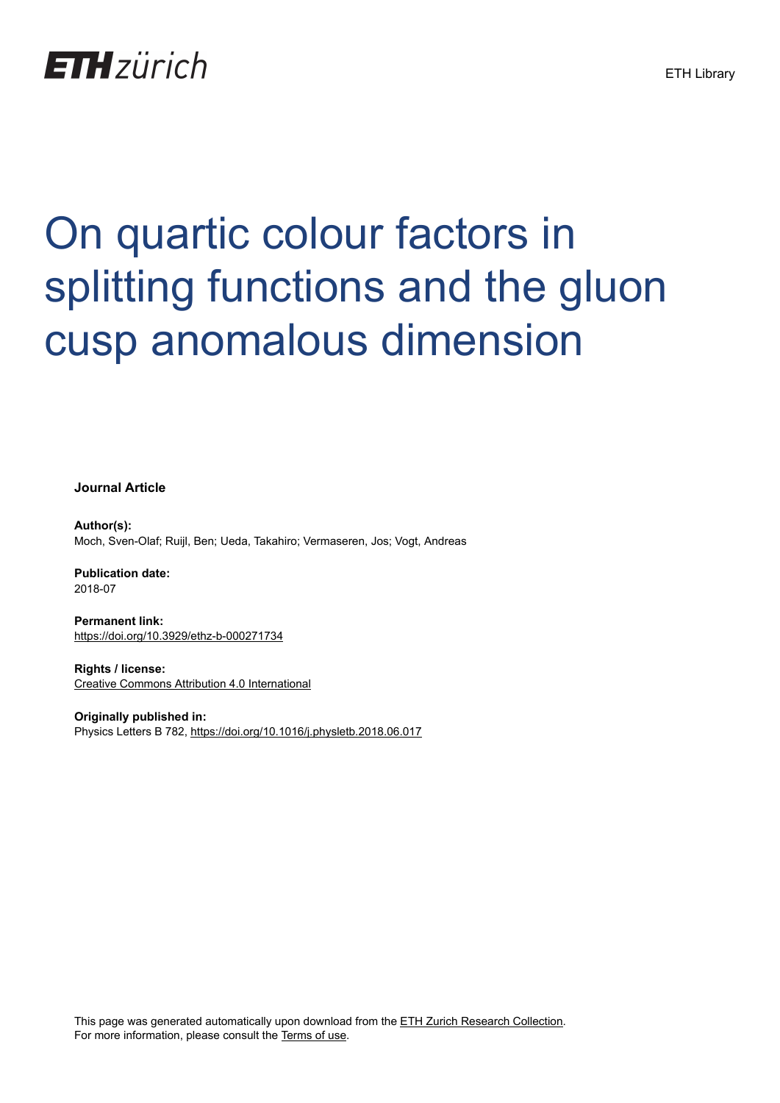## **ETH** zürich

# On quartic colour factors in splitting functions and the gluon cusp anomalous dimension

**Journal Article**

**Author(s):** Moch, Sven-Olaf; Ruijl, Ben; Ueda, Takahiro; Vermaseren, Jos; Vogt, Andreas

**Publication date:** 2018-07

**Permanent link:** <https://doi.org/10.3929/ethz-b-000271734>

**Rights / license:** [Creative Commons Attribution 4.0 International](http://creativecommons.org/licenses/by/4.0/)

**Originally published in:** Physics Letters B 782, <https://doi.org/10.1016/j.physletb.2018.06.017>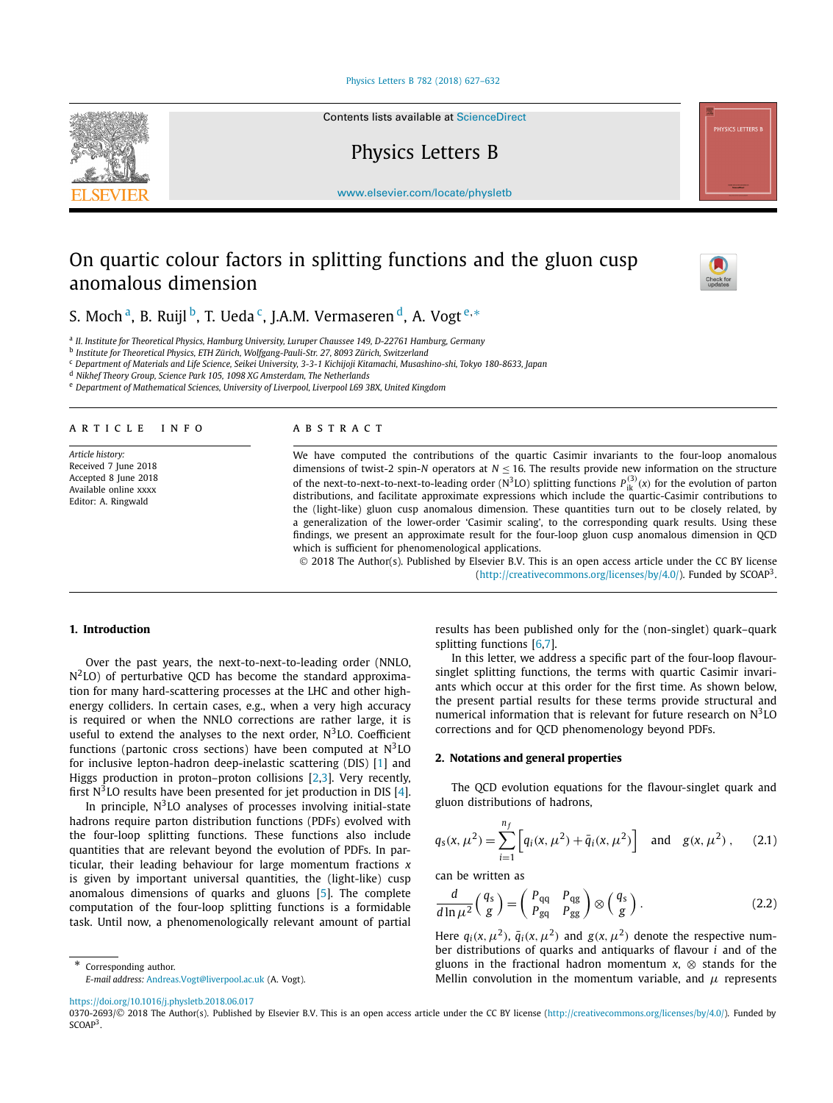#### [Physics Letters B 782 \(2018\) 627–632](https://doi.org/10.1016/j.physletb.2018.06.017)

Contents lists available at [ScienceDirect](http://www.ScienceDirect.com/)

Physics Letters B

[www.elsevier.com/locate/physletb](http://www.elsevier.com/locate/physletb)

### On quartic colour factors in splitting functions and the gluon cusp anomalous dimension



S. Moch<sup>a</sup>, B. Ruijl<sup>b</sup>, T. Ueda<sup>c</sup>, J.A.M. Vermaseren<sup>d</sup>, A. Vogt<sup>e,∗</sup>

<sup>a</sup> *II. Institute for Theoretical Physics, Hamburg University, Luruper Chaussee 149, D-22761 Hamburg, Germany*

<sup>b</sup> *Institute for Theoretical Physics, ETH Zürich, Wolfgang-Pauli-Str. 27, 8093 Zürich, Switzerland*

<sup>c</sup> *Department of Materials and Life Science, Seikei University, 3-3-1 Kichijoji Kitamachi, Musashino-shi, Tokyo 180-8633, Japan*

<sup>d</sup> *Nikhef Theory Group, Science Park 105, 1098 XG Amsterdam, The Netherlands*

<sup>e</sup> *Department of Mathematical Sciences, University of Liverpool, Liverpool L69 3BX, United Kingdom*

#### A R T I C L E I N F O A B S T R A C T

*Article history:* Received 7 June 2018 Accepted 8 June 2018 Available online xxxx Editor: A. Ringwald

We have computed the contributions of the quartic Casimir invariants to the four-loop anomalous dimensions of twist-2 spin-*N* operators at *N* ≤ 16. The results provide new information on the structure of the next-to-next-to-next-to-leading order (N<sup>3</sup>LO) splitting functions  $P_{ik}^{(3)}(x)$  for the evolution of parton distributions, and facilitate approximate expressions which include the quartic-Casimir contributions to the (light-like) gluon cusp anomalous dimension. These quantities turn out to be closely related, by a generalization of the lower-order 'Casimir scaling', to the corresponding quark results. Using these findings, we present an approximate result for the four-loop gluon cusp anomalous dimension in QCD which is sufficient for phenomenological applications.

© 2018 The Author(s). Published by Elsevier B.V. This is an open access article under the CC BY license [\(http://creativecommons.org/licenses/by/4.0/\)](http://creativecommons.org/licenses/by/4.0/). Funded by SCOAP3.

#### **1. Introduction**

Over the past years, the next-to-next-to-leading order (NNLO,  $N^2$ LO) of perturbative QCD has become the standard approximation for many hard-scattering processes at the LHC and other highenergy colliders. In certain cases, e.g., when a very high accuracy is required or when the NNLO corrections are rather large, it is useful to extend the analyses to the next order,  $N<sup>3</sup>$  LO. Coefficient functions (partonic cross sections) have been computed at  $N<sup>3</sup>LO$ for inclusive lepton-hadron deep-inelastic scattering (DIS) [\[1\]](#page-6-0) and Higgs production in proton–proton collisions [\[2,3\]](#page-6-0). Very recently, first  $N<sup>3</sup>$ LO results have been presented for jet production in DIS [\[4\]](#page-6-0).

In principle,  $N<sup>3</sup>$  LO analyses of processes involving initial-state hadrons require parton distribution functions (PDFs) evolved with the four-loop splitting functions. These functions also include quantities that are relevant beyond the evolution of PDFs. In particular, their leading behaviour for large momentum fractions *x* is given by important universal quantities, the (light-like) cusp anomalous dimensions of quarks and gluons [\[5\]](#page-6-0). The complete computation of the four-loop splitting functions is a formidable task. Until now, a phenomenologically relevant amount of partial

Corresponding author. *E-mail address:* [Andreas.Vogt@liverpool.ac.uk](mailto:Andreas.Vogt@liverpool.ac.uk) (A. Vogt). results has been published only for the (non-singlet) quark–quark splitting functions [\[6,7\]](#page-6-0).

In this letter, we address a specific part of the four-loop flavoursinglet splitting functions, the terms with quartic Casimir invariants which occur at this order for the first time. As shown below, the present partial results for these terms provide structural and numerical information that is relevant for future research on  $N<sup>3</sup>LO$ corrections and for QCD phenomenology beyond PDFs.

#### **2. Notations and general properties**

The QCD evolution equations for the flavour-singlet quark and gluon distributions of hadrons,

$$
q_{s}(x, \mu^{2}) = \sum_{i=1}^{n_{f}} \left[ q_{i}(x, \mu^{2}) + \bar{q}_{i}(x, \mu^{2}) \right] \text{ and } g(x, \mu^{2}), \quad (2.1)
$$

can be written as

$$
\frac{d}{d\ln\mu^2} \left(\frac{q_s}{g}\right) = \left(\frac{P_{qq}}{P_{gq}} \frac{P_{qg}}{P_{gg}}\right) \otimes \left(\frac{q_s}{g}\right). \tag{2.2}
$$

Here  $q_i(x, \mu^2)$ ,  $\bar{q}_i(x, \mu^2)$  and  $g(x, \mu^2)$  denote the respective number distributions of quarks and antiquarks of flavour *i* and of the gluons in the fractional hadron momentum  $x$ ,  $\otimes$  stands for the Mellin convolution in the momentum variable, and *μ* represents

<https://doi.org/10.1016/j.physletb.2018.06.017>

0370-2693/© 2018 The Author(s). Published by Elsevier B.V. This is an open access article under the CC BY license [\(http://creativecommons.org/licenses/by/4.0/\)](http://creativecommons.org/licenses/by/4.0/). Funded by SCOAP<sup>3</sup>.

<span id="page-1-0"></span>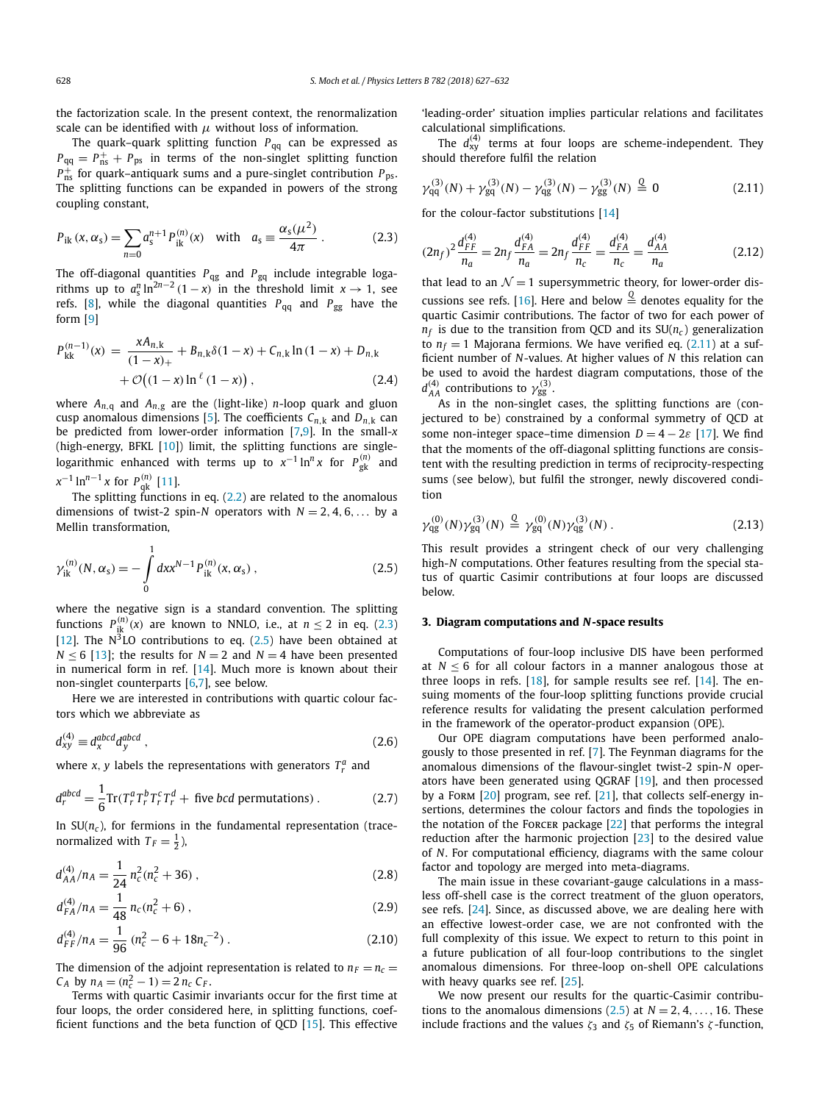<span id="page-2-0"></span>the factorization scale. In the present context, the renormalization scale can be identified with  $\mu$  without loss of information.

The quark–quark splitting function *P*<sub>qq</sub> can be expressed as  $P_{\text{qq}} = P_{\text{ns}}^+ + P_{\text{ps}}$  in terms of the non-singlet splitting function *P*+ ns for quark–antiquark sums and a pure-singlet contribution *P*ps . The splitting functions can be expanded in powers of the strong coupling constant,

$$
P_{ik}(x, \alpha_s) = \sum_{n=0} a_s^{n+1} P_{ik}^{(n)}(x) \text{ with } a_s \equiv \frac{\alpha_s(\mu^2)}{4\pi}.
$$
 (2.3)

The off-diagonal quantities *P*qg and *P*gq include integrable logarithms up to  $a_s^n \ln^{2n-2} (1-x)$  in the threshold limit  $x \to 1$ , see refs. [\[8\]](#page-6-0), while the diagonal quantities  $P_{qq}$  and  $P_{gg}$  have the form [\[9\]](#page-6-0)

$$
P_{kk}^{(n-1)}(x) = \frac{xA_{n,k}}{(1-x)_+} + B_{n,k}\delta(1-x) + C_{n,k}\ln(1-x) + D_{n,k} + \mathcal{O}((1-x)\ln^{\ell}(1-x)),
$$
\n(2.4)

where  $A_{n,q}$  and  $A_{n,g}$  are the (light-like) *n*-loop quark and gluon cusp anomalous dimensions [\[5\]](#page-6-0). The coefficients  $C_{n,k}$  and  $D_{n,k}$  can be predicted from lower-order information [\[7,9\]](#page-6-0). In the small-*x* (high-energy, BFKL [\[10\]](#page-6-0)) limit, the splitting functions are singlelogarithmic enhanced with terms up to  $x^{-1} \ln^n x$  for  $P^{(n)}_{\rm gk}$  and *x*<sup>−1</sup> ln<sup>*n*−1</sup> *x* for *P*<sub>q</sub><sup>*k*</sup> [\[11\]](#page-6-0).

The splitting functions in eq.  $(2.2)$  are related to the anomalous dimensions of twist-2 spin-*N* operators with  $N = 2, 4, 6, \ldots$  by a Mellin transformation,

$$
\gamma_{ik}^{(n)}(N,\alpha_s) = -\int_0^1 dx x^{N-1} P_{ik}^{(n)}(x,\alpha_s) ,
$$
\n(2.5)

where the negative sign is a standard convention. The splitting functions  $P_{ik}^{(n)}(x)$  are known to NNLO, i.e., at  $n \le 2$  in eq. (2.3) [\[12\]](#page-6-0). The  $N^3$ LO contributions to eq. (2.5) have been obtained at *N*  $\leq$  6 [\[13\]](#page-6-0); the results for *N* = 2 and *N* = 4 have been presented in numerical form in ref. [\[14\]](#page-6-0). Much more is known about their non-singlet counterparts [\[6,7\]](#page-6-0), see below.

Here we are interested in contributions with quartic colour factors which we abbreviate as

$$
d_{xy}^{(4)} \equiv d_x^{abcd} d_y^{abcd} , \qquad (2.6)
$$

where *x*, *y* labels the representations with generators  $T_r^a$  and

$$
d_r^{abcd} = \frac{1}{6} \text{Tr}(T_r^a T_r^b T_r^c T_r^d + \text{five } bcd \text{ permutations}). \tag{2.7}
$$

In  $SU(n_c)$ , for fermions in the fundamental representation (tracenormalized with  $T_F = \frac{1}{2}$ ),

$$
d_{AA}^{(4)}/n_A = \frac{1}{24} n_c^2 (n_c^2 + 36) ,
$$
 (2.8)

$$
d_{FA}^{(4)}/n_A = \frac{1}{48} n_c (n_c^2 + 6) ,
$$
 (2.9)

$$
d_{FF}^{(4)}/n_A = \frac{1}{96} (n_c^2 - 6 + 18n_c^{-2}).
$$
 (2.10)

The dimension of the adjoint representation is related to  $n_F = n_c$  $C_A$  by  $n_A = (n_c^2 - 1) = 2 n_c C_F$ .

Terms with quartic Casimir invariants occur for the first time at four loops, the order considered here, in splitting functions, coefficient functions and the beta function of QCD [\[15\]](#page-6-0). This effective

'leading-order' situation implies particular relations and facilitates calculational simplifications.

The  $d_{xy}^{(4)}$  terms at four loops are scheme-independent. They should therefore fulfil the relation

$$
\gamma_{qq}^{(3)}(N) + \gamma_{gq}^{(3)}(N) - \gamma_{qg}^{(3)}(N) - \gamma_{gg}^{(3)}(N) \stackrel{Q}{=} 0 \tag{2.11}
$$

for the colour-factor substitutions [\[14\]](#page-6-0)

$$
(2n_f)^2 \frac{d_{FF}^{(4)}}{n_a} = 2n_f \frac{d_{FA}^{(4)}}{n_a} = 2n_f \frac{d_{FF}^{(4)}}{n_c} = \frac{d_{FA}^{(4)}}{n_c} = \frac{d_{AA}^{(4)}}{n_a}
$$
(2.12)

that lead to an  $\mathcal{N} = 1$  supersymmetric theory, for lower-order dis-cussions see refs. [\[16\]](#page-6-0). Here and below  $\frac{Q}{q}$  denotes equality for the quartic Casimir contributions. The factor of two for each power of  $n_f$  is due to the transition from QCD and its  $SU(n_c)$  generalization to  $n_f = 1$  Majorana fermions. We have verified eq. (2.11) at a sufficient number of *N*-values. At higher values of *N* this relation can be used to avoid the hardest diagram computations, those of the  $d_{AA}^{(4)}$  contributions to  $\gamma_{gg}^{(3)}$ .

As in the non-singlet cases, the splitting functions are (conjectured to be) constrained by a conformal symmetry of QCD at some non-integer space–time dimension  $D = 4 - 2\varepsilon$  [\[17\]](#page-6-0). We find that the moments of the off-diagonal splitting functions are consistent with the resulting prediction in terms of reciprocity-respecting sums (see below), but fulfil the stronger, newly discovered condition

$$
\gamma_{\rm qg}^{(0)}(N)\gamma_{\rm gq}^{(3)}(N) \stackrel{\mathbb{Q}}{=} \gamma_{\rm gq}^{(0)}(N)\gamma_{\rm qg}^{(3)}(N) \,. \tag{2.13}
$$

This result provides a stringent check of our very challenging high-*N* computations. Other features resulting from the special status of quartic Casimir contributions at four loops are discussed below.

#### **3. Diagram computations and** *N***-space results**

Computations of four-loop inclusive DIS have been performed at  $N < 6$  for all colour factors in a manner analogous those at three loops in refs.  $[18]$ , for sample results see ref.  $[14]$ . The ensuing moments of the four-loop splitting functions provide crucial reference results for validating the present calculation performed in the framework of the operator-product expansion (OPE).

Our OPE diagram computations have been performed analogously to those presented in ref. [\[7\]](#page-6-0). The Feynman diagrams for the anomalous dimensions of the flavour-singlet twist-2 spin-*N* operators have been generated using QGRAF [\[19\]](#page-6-0), and then processed by a Form  $[20]$  program, see ref.  $[21]$ , that collects self-energy insertions, determines the colour factors and finds the topologies in the notation of the Forcer package [\[22\]](#page-6-0) that performs the integral reduction after the harmonic projection [\[23\]](#page-6-0) to the desired value of *N*. For computational efficiency, diagrams with the same colour factor and topology are merged into meta-diagrams.

The main issue in these covariant-gauge calculations in a massless off-shell case is the correct treatment of the gluon operators, see refs. [\[24\]](#page-6-0). Since, as discussed above, we are dealing here with an effective lowest-order case, we are not confronted with the full complexity of this issue. We expect to return to this point in a future publication of all four-loop contributions to the singlet anomalous dimensions. For three-loop on-shell OPE calculations with heavy quarks see ref. [\[25\]](#page-6-0).

We now present our results for the quartic-Casimir contributions to the anomalous dimensions  $(2.5)$  at  $N = 2, 4, \ldots, 16$ . These include fractions and the values *ζ*<sup>3</sup> and *ζ*<sup>5</sup> of Riemann's *ζ* -function,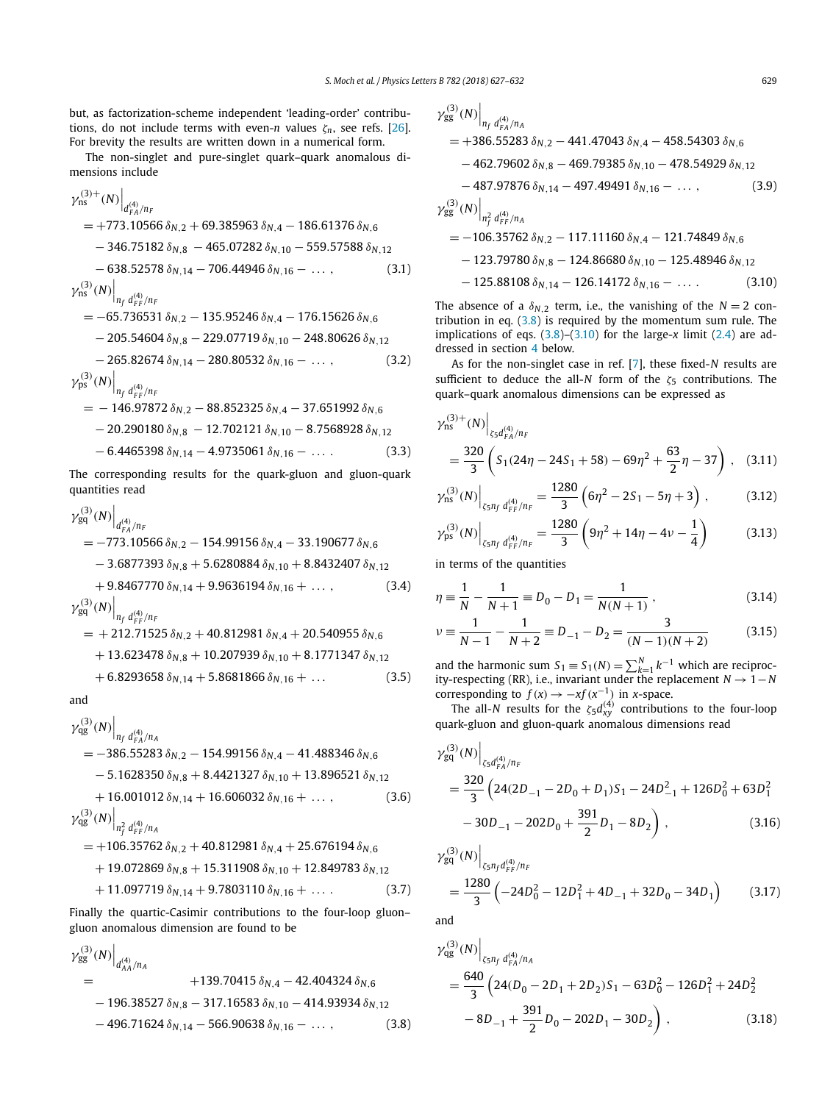<span id="page-3-0"></span>but, as factorization-scheme independent 'leading-order' contributions, do not include terms with even-*n* values  $\zeta_n$ , see refs. [\[26\]](#page-6-0). For brevity the results are written down in a numerical form.

The non-singlet and pure-singlet quark–quark anomalous dimensions include

$$
\gamma_{\rm ns}^{(3)+}(N)\Big|_{d_{\rm FA}^{(4)}/n_{\rm F}} = +773.10566 \,\delta_{N,2} + 69.385963 \,\delta_{N,4} - 186.61376 \,\delta_{N,6} \n- 346.75182 \,\delta_{N,8} - 465.07282 \,\delta_{N,10} - 559.57588 \,\delta_{N,12} \n- 638.52578 \,\delta_{N,14} - 706.44946 \,\delta_{N,16} - \dots, (3.1) \n\gamma_{\rm ns}^{(3)}(N)\Big|_{n_f d_{\rm FP}^{(4)}/n_{\rm F}} = -65.736531 \,\delta_{N,2} - 135.95246 \,\delta_{N,4} - 176.15626 \,\delta_{N,6} \n- 205.54604 \,\delta_{N,8} - 229.07719 \,\delta_{N,10} - 248.80626 \,\delta_{N,12} \n- 265.82674 \,\delta_{N,14} - 280.80532 \,\delta_{N,16} - \dots, (3.2) \n\gamma_{\rm ps}^{(3)}(N)\Big|_{n_f d_{\rm FP}^{(4)}/n_{\rm F}} = -146.97872 \,\delta_{N,2} - 88.852325 \,\delta_{N,4} - 37.651992 \,\delta_{N,6}
$$

$$
- 20.290180 \delta_{N,8} - 12.702121 \delta_{N,10} - 8.7568928 \delta_{N,12}
$$
  
- 6.4465398 \delta\_{N,14} - 4.9735061 \delta\_{N,16} - ... (3.3)

The corresponding results for the quark-gluon and gluon-quark quantities read

$$
\gamma_{gq}^{(3)}(N)\Big|_{d_{FA}^{(4)}/n_F} = -773.10566 \delta_{N,2} - 154.99156 \delta_{N,4} - 33.190677 \delta_{N,6} \n- 3.6877393 \delta_{N,8} + 5.6280884 \delta_{N,10} + 8.8432407 \delta_{N,12} \n+ 9.8467770 \delta_{N,14} + 9.9636194 \delta_{N,16} + ..., (3.4) \n\gamma_{gq}^{(3)}(N)\Big|_{n_f d_{FF}^{(4)}/n_F} = + 212.71525 \delta_{N,2} + 40.812981 \delta_{N,4} + 20.540955 \delta_{N,6} \n+ 13.623478 \delta_{N,8} + 10.207939 \delta_{N,10} + 8.1771347 \delta_{N,12}
$$

 $+ 6.8293658 \delta_{N,14} + 5.8681866 \delta_{N,16} + ...$  (3.5)

$$
\quad \text{and} \quad
$$

 $\overline{1}$ 

$$
\gamma_{\text{qg}}^{(3)}(N) \Big|_{n_f d_{FA}^{(4)}/n_A}
$$
  
= -386.55283  $\delta_{N,2}$  - 154.99156  $\delta_{N,4}$  - 41.488346  $\delta_{N,6}$   
- 5.1628350  $\delta_{N,8}$  + 8.4421327  $\delta_{N,10}$  + 13.896521  $\delta_{N,12}$   
+ 16.001012  $\delta_{N,14}$  + 16.606032  $\delta_{N,16}$  + ..., (3.6)  

$$
\gamma_{\text{qg}}^{(3)}(N) \Big|_{n_f^2 d_{FF}^{(4)}/n_A}
$$
  
= +106.35762  $\delta_{N,2}$  + 40.812981  $\delta_{N,4}$  + 25.676194  $\delta_{N,6}$   
+ 19.072869  $\delta_{N,8}$  + 15.311908  $\delta_{N,10}$  + 12.849783  $\delta_{N,12}$   
+ 11.097719  $\delta_{N,14}$  + 9.7803110  $\delta_{N,16}$  + .... (3.7)

Finally the quartic-Casimir contributions to the four-loop gluon– gluon anomalous dimension are found to be

$$
\gamma_{gg}^{(3)}(N)\Big|_{d_{AA}^{(4)}/n_A} + 139.70415 \delta_{N,4} - 42.404324 \delta_{N,6}
$$
  
- 196.38527  $\delta_{N,8}$  - 317.16583  $\delta_{N,10}$  - 414.93934  $\delta_{N,12}$   
- 496.71624  $\delta_{N,14}$  - 566.90638  $\delta_{N,16}$  - ..., (3.8)

$$
\gamma_{gg}^{(3)}(N)\Big|_{n_f d_{FA}^{(4)}/n_A}
$$
  
= +386.55283  $\delta_{N,2}$  - 441.47043  $\delta_{N,4}$  - 458.54303  $\delta_{N,6}$   
- 462.79602  $\delta_{N,8}$  - 469.79385  $\delta_{N,10}$  - 478.54929  $\delta_{N,12}$   
- 487.97876  $\delta_{N,14}$  - 497.49491  $\delta_{N,16}$  - ..., (3.9)  

$$
\gamma_{gg}^{(3)}(N)\Big|_{n_f^2 d_{FF}^{(4)}/n_A}
$$
  
= -106.35762  $\delta_{N,2}$  - 117.11160  $\delta_{N,4}$  - 121.74849  $\delta_{N,6}$   
- 123.79780  $\delta_{N,8}$  - 124.86680  $\delta_{N,10}$  - 125.48946  $\delta_{N,12}$   
- 125.88108  $\delta_{N,14}$  - 126.14172  $\delta_{N,16}$  - ..., (3.10)

The absence of a  $\delta_{N}$ <sub>2</sub> term, i.e., the vanishing of the  $N = 2$  contribution in eq.  $(3.8)$  is required by the momentum sum rule. The implications of eqs.  $(3.8)$ – $(3.10)$  for the large-*x* limit  $(2.4)$  are addressed in section [4](#page-4-0) below.

As for the non-singlet case in ref. [\[7\]](#page-6-0), these fixed-*N* results are sufficient to deduce the all-*N* form of the *ζ*<sup>5</sup> contributions. The quark–quark anomalous dimensions can be expressed as

$$
\gamma_{\rm ns}^{(3)+}(N)\Big|_{\zeta_5 d_{FA}^{(4)}/n_F} = \frac{320}{3} \left( S_1 (24\eta - 24S_1 + 58) - 69\eta^2 + \frac{63}{2}\eta - 37 \right), \quad (3.11)
$$

$$
\gamma_{\rm ns}^{(3)}(N)\Big|_{\zeta_5 n_f d_{FF}^{(4)}/n_F} = \frac{1280}{3} \left(6\eta^2 - 2S_1 - 5\eta + 3\right) ,\qquad (3.12)
$$

$$
\gamma_{\rm ps}^{(3)}(N)\Big|_{\zeta_5 n_f d_{\rm FF}^{(4)}/n_F} = \frac{1280}{3} \left(9\eta^2 + 14\eta - 4\nu - \frac{1}{4}\right) \tag{3.13}
$$

in terms of the quantities

 $\overline{a}$ 

$$
\eta \equiv \frac{1}{N} - \frac{1}{N+1} \equiv D_0 - D_1 = \frac{1}{N(N+1)},
$$
\n(3.14)

$$
\nu \equiv \frac{1}{N-1} - \frac{1}{N+2} \equiv D_{-1} - D_2 = \frac{3}{(N-1)(N+2)}\tag{3.15}
$$

and the harmonic sum  $S_1 = S_1(N) = \sum_{k=1}^{N} k^{-1}$  which are reciprocity-respecting (RR), i.e., invariant under the replacement  $N \rightarrow 1-N$ corresponding to  $f(x) \rightarrow -xf(x^{-1})$  in *x*-space.

The all-*N* results for the  $\zeta_5 d_{xy}^{(4)}$  contributions to the four-loop quark-gluon and gluon-quark anomalous dimensions read

$$
\gamma_{gq}^{(3)}(N)\Big|_{\zeta_5 d_{FA}^{(4)}/n_F} \n= \frac{320}{3} \left(24(2D_{-1} - 2D_0 + D_1)S_1 - 24D_{-1}^2 + 126D_0^2 + 63D_1^2 - 30D_{-1} - 202D_0 + \frac{391}{2}D_1 - 8D_2\right),
$$
\n(3.16)

$$
\gamma_{\text{gq}}^{(3)}(N)\Big|_{\zeta_5 n_f d_{FF}^{(4)}/n_F} = \frac{1280}{3} \left(-24D_0^2 - 12D_1^2 + 4D_{-1} + 32D_0 - 34D_1\right) \tag{3.17}
$$

and

$$
\gamma_{\text{qg}}^{(3)}(N)\Big|_{\zeta_5 n_f d_{FA}^{(4)}/n_A}
$$
  
=  $\frac{640}{3} \left(24(D_0 - 2D_1 + 2D_2)S_1 - 63D_0^2 - 126D_1^2 + 24D_2^2 - 8D_{-1} + \frac{391}{2}D_0 - 202D_1 - 30D_2\right)$ , (3.18)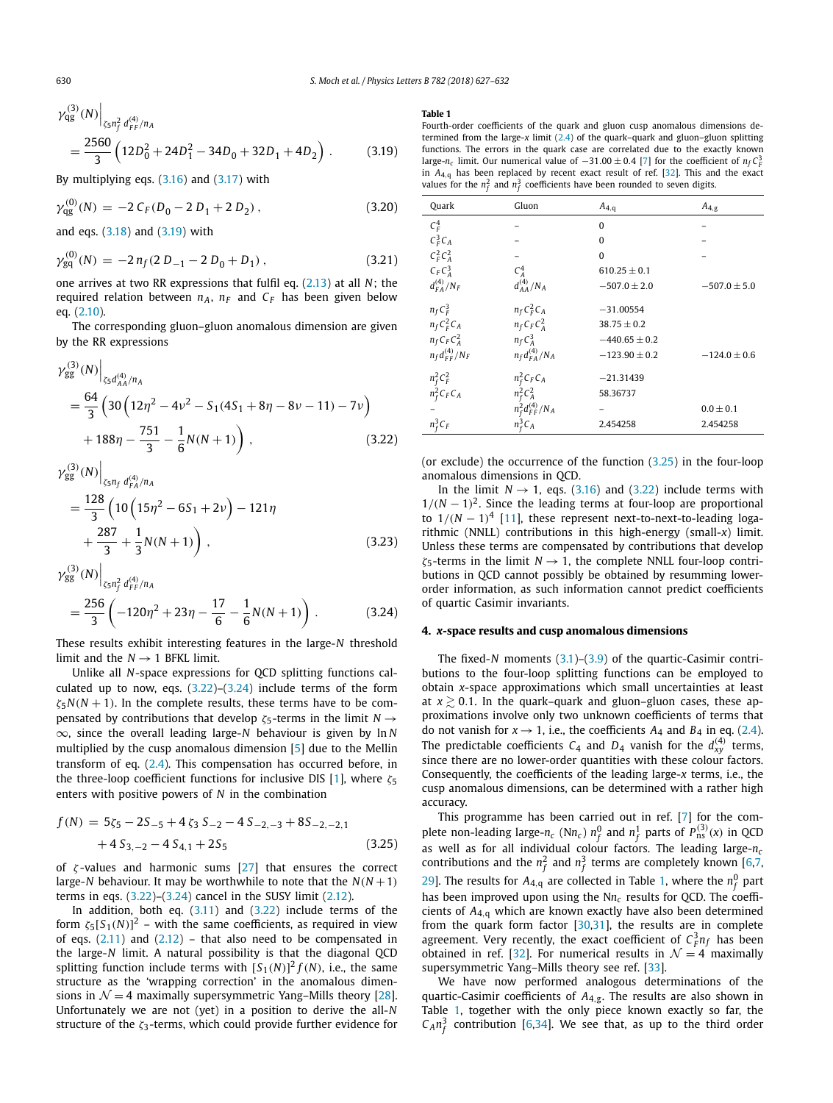<span id="page-4-0"></span>
$$
\gamma_{\text{qg}}^{(3)}(N)\Big|_{\zeta_5 n_f^2 d_{FF}^{(4)}/n_A} = \frac{2560}{3} \left(12D_0^2 + 24D_1^2 - 34D_0 + 32D_1 + 4D_2\right) \,. \tag{3.19}
$$

By multiplying eqs. [\(3.16\)](#page-3-0) and [\(3.17\)](#page-3-0) with

$$
\gamma_{\rm qg}^{(0)}(N) = -2\,C_F(D_0 - 2\,D_1 + 2\,D_2)\,,\tag{3.20}
$$

and eqs. [\(3.18\)](#page-3-0) and (3.19) with

$$
\gamma_{\rm gq}^{(0)}(N) = -2\,n_f(2\,D_{-1} - 2\,D_0 + D_1)\,,\tag{3.21}
$$

one arrives at two RR expressions that fulfil eq. [\(2.13\)](#page-2-0) at all *N*; the required relation between  $n_A$ ,  $n_F$  and  $C_F$  has been given below eq. [\(2.10\)](#page-2-0).

The corresponding gluon–gluon anomalous dimension are given by the RR expressions

$$
\gamma_{gg}^{(3)}(N)\Big|_{\zeta_5 d_{AA}^{(4)}/n_A} \n= \frac{64}{3} \left(30 \left(12\eta^2 - 4\nu^2 - S_1(4S_1 + 8\eta - 8\nu - 11) - 7\nu\right) \n+ 188\eta - \frac{751}{3} - \frac{1}{6}N(N+1)\right),
$$
\n(3.22)

$$
\gamma_{gg}^{(3)}(N)\Big|_{\zeta_5 n_f d_{FA}^{(4)}/n_A}
$$
  
= 
$$
\frac{128}{3} \left(10\left(15\eta^2 - 6S_1 + 2\nu\right) - 121\eta
$$
  
+ 
$$
\frac{287}{3} + \frac{1}{3}N(N+1)\right),
$$
 (3.23)

$$
\gamma_{gg}^{(3)}(N)\Big|_{\zeta_5 n_f^2 d_{FF}^{(4)}/n_A} = \frac{256}{3} \left(-120\eta^2 + 23\eta - \frac{17}{6} - \frac{1}{6}N(N+1)\right).
$$
 (3.24)

These results exhibit interesting features in the large-*N* threshold limit and the  $N \rightarrow 1$  BFKL limit.

Unlike all *N*-space expressions for QCD splitting functions calculated up to now, eqs.  $(3.22)$ – $(3.24)$  include terms of the form  $\zeta$ <sub>5</sub> $N(N + 1)$ . In the complete results, these terms have to be compensated by contributions that develop *ζ*5-terms in the limit *N* → ∞, since the overall leading large-*N* behaviour is given by ln *N* multiplied by the cusp anomalous dimension [\[5\]](#page-6-0) due to the Mellin transform of eq. [\(2.4\)](#page-2-0). This compensation has occurred before, in the three-loop coefficient functions for inclusive DIS [\[1\]](#page-6-0), where *ζ*<sub>5</sub> enters with positive powers of *N* in the combination

$$
f(N) = 5\zeta_5 - 2S_{-5} + 4\zeta_3 S_{-2} - 4S_{-2,-3} + 8S_{-2,-2,1}
$$
  
+4 S<sub>3,-2</sub> - 4 S<sub>4,1</sub> + 2S<sub>5</sub> (3.25)

of *ζ* -values and harmonic sums [\[27\]](#page-6-0) that ensures the correct large-*N* behaviour. It may be worthwhile to note that the  $N(N + 1)$ terms in eqs.  $(3.22)$ – $(3.24)$  cancel in the SUSY limit  $(2.12)$ .

In addition, both eq.  $(3.11)$  and  $(3.22)$  include terms of the form  $\zeta_5[S_1(N)]^2$  – with the same coefficients, as required in view of eqs.  $(2.11)$  and  $(2.12)$  – that also need to be compensated in the large-*N* limit. A natural possibility is that the diagonal QCD splitting function include terms with  $[S_1(N)]^2 f(N)$ , i.e., the same structure as the 'wrapping correction' in the anomalous dimensions in  $\mathcal{N} = 4$  maximally supersymmetric Yang–Mills theory [\[28\]](#page-6-0). Unfortunately we are not (yet) in a position to derive the all-*N* structure of the *ζ*3-terms, which could provide further evidence for

#### **Table 1**

Fourth-order coefficients of the quark and gluon cusp anomalous dimensions determined from the large-*x* limit [\(2.4\)](#page-2-0) of the quark–quark and gluon–gluon splitting functions. The errors in the quark case are correlated due to the exactly known large-*n<sub>c</sub>* limit. Our numerical value of  $-31.00 \pm 0.4$  [\[7\]](#page-6-0) for the coefficient of  $n_f C_f^3$ in  $A_{4,q}$  has been replaced by recent exact result of ref. [\[32\]](#page-6-0). This and the exact values for the  $n_f^2$  and  $n_f^3$  coefficients have been rounded to seven digits.

| Quark                  | Gluon                    | $A_{4,q}$         | $A_{4,g}$        |
|------------------------|--------------------------|-------------------|------------------|
| $C_F^4$                |                          | $\Omega$          |                  |
| $C_F^3C_A$             |                          | $\Omega$          |                  |
| $C_F^2C_A^2$           |                          | $\Omega$          |                  |
| $C_F C_A^3$            | $C_A^4$                  | $610.25 \pm 0.1$  |                  |
| $d_{FA}^{(4)}/N_F$     | $d_{AA}^{(4)}/N_A$       | $-507.0 \pm 2.0$  | $-507.0 \pm 5.0$ |
| $n_f C_F^3$            | $n_f C_F^2 C_A$          | $-31.00554$       |                  |
| $n_f C_F^2 C_A$        | $n_f C_F C_A^2$          | $38.75 \pm 0.2$   |                  |
| $n_f C_F C_A^2$        | $n_f C_A^3$              | $-440.65 \pm 0.2$ |                  |
| $n_f d_{FF}^{(4)}/N_F$ | $n_f d_{FA}^{(4)}/N_A$   | $-123.90 \pm 0.2$ | $-124.0 \pm 0.6$ |
| $n_f^2 C_F^2$          | $n_f^2 C_F C_A$          | $-21.31439$       |                  |
| $n_f^2 C_F C_A$        | $n_f^2 C_A^2$            | 58.36737          |                  |
|                        | $n_f^2 d_{FF}^{(4)}/N_A$ |                   | $0.0 \pm 0.1$    |
| $n_f^3C_F$             | $n_F^3C_A$               | 2.454258          | 2.454258         |

(or exclude) the occurrence of the function (3.25) in the four-loop anomalous dimensions in QCD.

In the limit  $N \rightarrow 1$ , eqs. [\(3.16\)](#page-3-0) and (3.22) include terms with  $1/(N-1)^2$ . Since the leading terms at four-loop are proportional to  $1/(N-1)^4$  [\[11\]](#page-6-0), these represent next-to-next-to-leading logarithmic (NNLL) contributions in this high-energy (small-*x*) limit. Unless these terms are compensated by contributions that develop *ζ*5-terms in the limit *N* → 1, the complete NNLL four-loop contributions in QCD cannot possibly be obtained by resumming lowerorder information, as such information cannot predict coefficients of quartic Casimir invariants.

#### **4.** *x***-space results and cusp anomalous dimensions**

The fixed-*N* moments [\(3.1\)](#page-3-0)–[\(3.9\)](#page-3-0) of the quartic-Casimir contributions to the four-loop splitting functions can be employed to obtain *x*-space approximations which small uncertainties at least at  $x \gtrsim 0.1$ . In the quark–quark and gluon–gluon cases, these approximations involve only two unknown coefficients of terms that do not vanish for  $x \rightarrow 1$ , i.e., the coefficients  $A_4$  and  $B_4$  in eq. [\(2.4\)](#page-2-0). The predictable coefficients  $C_4$  and  $D_4$  vanish for the  $d_{xy}^{(4)}$  terms, since there are no lower-order quantities with these colour factors. Consequently, the coefficients of the leading large-*x* terms, i.e., the cusp anomalous dimensions, can be determined with a rather high accuracy.

This programme has been carried out in ref. [\[7\]](#page-6-0) for the complete non-leading large- $n_c$  (N $n_c$ )  $n_f^0$  and  $n_f^1$  parts of  $P_{\text{ns}}^{(3)}(x)$  in QCD as well as for all individual colour factors. The leading large-*nc* contributions and the  $n_f^2$  and  $n_f^3$  terms are completely known [\[6,7,](#page-6-0) [29\]](#page-6-0). The results for  $A_{4,q}$  are collected in Table 1, where the  $n_f^0$  part has been improved upon using the N*nc* results for QCD. The coefficients of *A*4*,*<sup>q</sup> which are known exactly have also been determined from the quark form factor  $[30,31]$ , the results are in complete agreement. Very recently, the exact coefficient of  $C_F^3 n_f$  has been obtained in ref. [\[32\]](#page-6-0). For numerical results in  $\mathcal{N}=4$  maximally supersymmetric Yang–Mills theory see ref. [\[33\]](#page-6-0).

We have now performed analogous determinations of the quartic-Casimir coefficients of *A*4*,*g. The results are also shown in Table 1, together with the only piece known exactly so far, the  $C_A n_f^3$  contribution [\[6,34\]](#page-6-0). We see that, as up to the third order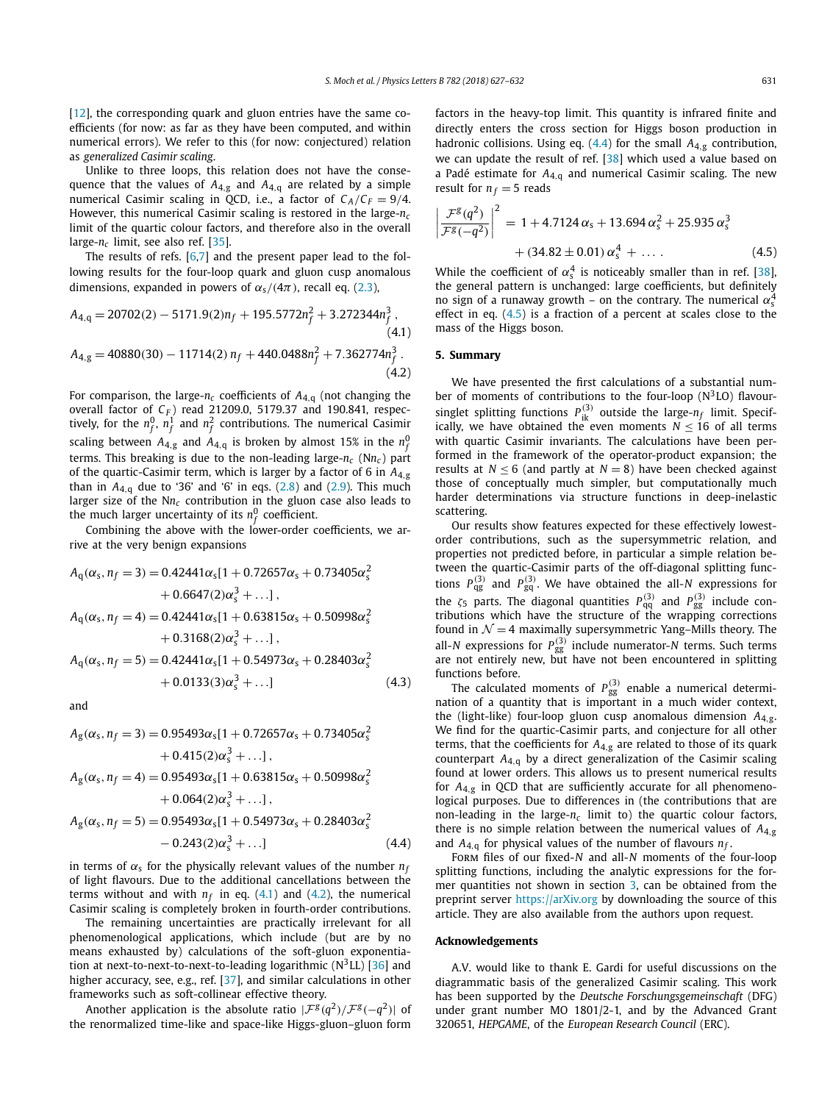$[12]$ , the corresponding quark and gluon entries have the same coefficients (for now: as far as they have been computed, and within numerical errors). We refer to this (for now: conjectured) relation as *generalized Casimir scaling*.

Unlike to three loops, this relation does not have the consequence that the values of *A*4*,*<sup>g</sup> and *A*4*,*<sup>q</sup> are related by a simple numerical Casimir scaling in QCD, i.e., a factor of  $C_A/C_F = 9/4$ . However, this numerical Casimir scaling is restored in the large-*nc* limit of the quartic colour factors, and therefore also in the overall large-*nc* limit, see also ref. [\[35\]](#page-6-0).

The results of refs.  $[6,7]$  and the present paper lead to the following results for the four-loop quark and gluon cusp anomalous dimensions, expanded in powers of  $\alpha_s/(4\pi)$ , recall eq. [\(2.3\)](#page-2-0),

$$
A_{4,q} = 20702(2) - 5171.9(2)n_f + 195.5772n_f^2 + 3.272344n_f^3,
$$
\n(4.1)  
\n
$$
A_{4,g} = 40880(30) - 11714(2) n_f + 440.0488n_f^2 + 7.362774n_f^3.
$$
\n(4.2)

For comparison, the large- $n_c$  coefficients of  $A_{4,q}$  (not changing the overall factor of *C<sub>F</sub>*) read 21209.0, 5179.37 and 190.841, respectively, for the  $n_f^0$ ,  $n_f^1$  and  $n_f^2$  contributions. The numerical Casimir scaling between  $A_{4,g}$  and  $A_{4,\mathrm{q}}$  is broken by almost 15% in the  $n_f^0$ terms. This breaking is due to the non-leading large-*nc* (N*nc* ) part of the quartic-Casimir term, which is larger by a factor of 6 in *A*4*,*<sup>g</sup> than in  $A_{4,q}$  due to '36' and '6' in eqs. [\(2.8\)](#page-2-0) and [\(2.9\)](#page-2-0). This much larger size of the N*nc* contribution in the gluon case also leads to the much larger uncertainty of its  $n_f^0$  coefficient.

Combining the above with the lower-order coefficients, we arrive at the very benign expansions

$$
A_{q}(\alpha_{s}, n_{f} = 3) = 0.42441\alpha_{s}[1 + 0.72657\alpha_{s} + 0.73405\alpha_{s}^{2}+ 0.6647(2)\alpha_{s}^{3} + ...],
$$
  

$$
A_{q}(\alpha_{s}, n_{f} = 4) = 0.42441\alpha_{s}[1 + 0.63815\alpha_{s} + 0.50998\alpha_{s}^{2}+ 0.3168(2)\alpha_{s}^{3} + ...],
$$
  

$$
A_{q}(\alpha_{s}, n_{f} = 5) = 0.42441\alpha_{s}[1 + 0.54973\alpha_{s} + 0.28403\alpha_{s}^{2}+ 0.0133(3)\alpha_{s}^{3} + ...]
$$
(4.3)

and

$$
A_{g}(\alpha_{s}, n_{f} = 3) = 0.95493\alpha_{s}[1 + 0.72657\alpha_{s} + 0.73405\alpha_{s}^{2}+ 0.415(2)\alpha_{s}^{3} + ...],
$$
  

$$
A_{g}(\alpha_{s}, n_{f} = 4) = 0.95493\alpha_{s}[1 + 0.63815\alpha_{s} + 0.50998\alpha_{s}^{2}+ 0.064(2)\alpha_{s}^{3} + ...],
$$
  

$$
A_{g}(\alpha_{s}, n_{f} = 5) = 0.95493\alpha_{s}[1 + 0.54973\alpha_{s} + 0.28403\alpha_{s}^{2}- 0.243(2)\alpha_{s}^{3} + ...]
$$
(4.4)

in terms of  $\alpha_s$  for the physically relevant values of the number  $n_f$ of light flavours. Due to the additional cancellations between the terms without and with  $n_f$  in eq.  $(4.1)$  and  $(4.2)$ , the numerical Casimir scaling is completely broken in fourth-order contributions.

The remaining uncertainties are practically irrelevant for all phenomenological applications, which include (but are by no means exhausted by) calculations of the soft-gluon exponentiation at next-to-next-to-next-to-leading logarithmic  $(N^3LL)$  [\[36\]](#page-6-0) and higher accuracy, see, e.g., ref. [\[37\]](#page-6-0), and similar calculations in other frameworks such as soft-collinear effective theory.

Another application is the absolute ratio  $|\mathcal{F}^{g}(q^2)/\mathcal{F}^{g}(-q^2)|$  of the renormalized time-like and space-like Higgs-gluon–gluon form factors in the heavy-top limit. This quantity is infrared finite and directly enters the cross section for Higgs boson production in hadronic collisions. Using eq. (4.4) for the small *A*4*,*<sup>g</sup> contribution, we can update the result of ref. [\[38\]](#page-6-0) which used a value based on a Padé estimate for *A*4*,*<sup>q</sup> and numerical Casimir scaling. The new result for  $n_f = 5$  reads

$$
\left|\frac{\mathcal{F}^{g}(q^2)}{\mathcal{F}^{g}(-q^2)}\right|^2 = 1 + 4.7124 \alpha_s + 13.694 \alpha_s^2 + 25.935 \alpha_s^3 + (34.82 \pm 0.01) \alpha_s^4 + \dots
$$
\n(4.5)

While the coefficient of  $\alpha_s^4$  is noticeably smaller than in ref. [\[38\]](#page-6-0), the general pattern is unchanged: large coefficients, but definitely no sign of a runaway growth – on the contrary. The numerical  $\alpha_{\rm s}^4$ effect in eq. (4.5) is a fraction of a percent at scales close to the mass of the Higgs boson.

#### **5. Summary**

We have presented the first calculations of a substantial number of moments of contributions to the four-loop  $(N^3LO)$  flavoursinglet splitting functions  $P_{ik}^{(3)}$  outside the large- $n_f$  limit. Specifically, we have obtained the even moments  $N \leq 16$  of all terms with quartic Casimir invariants. The calculations have been performed in the framework of the operator-product expansion; the results at  $N \leq 6$  (and partly at  $N = 8$ ) have been checked against those of conceptually much simpler, but computationally much harder determinations via structure functions in deep-inelastic scattering.

Our results show features expected for these effectively lowestorder contributions, such as the supersymmetric relation, and properties not predicted before, in particular a simple relation between the quartic-Casimir parts of the off-diagonal splitting functions  $P_{\text{qg}}^{(3)}$  and  $P_{\text{gq}}^{(3)}$ . We have obtained the all-N expressions for the  $\zeta_5$  parts. The diagonal quantities  $P_{qq}^{(3)}$  and  $P_{gg}^{(3)}$  include contributions which have the structure of the wrapping corrections found in  $\mathcal{N} = 4$  maximally supersymmetric Yang–Mills theory. The all-*N* expressions for  $P_{gg}^{(3)}$  include numerator-*N* terms. Such terms are not entirely new, but have not been encountered in splitting functions before.

The calculated moments of  $P_{gg}^{(3)}$  enable a numerical determination of a quantity that is important in a much wider context, the (light-like) four-loop gluon cusp anomalous dimension *A*4*,*g. We find for the quartic-Casimir parts, and conjecture for all other terms, that the coefficients for *A*4*,*<sup>g</sup> are related to those of its quark counterpart *A*4*,*<sup>q</sup> by a direct generalization of the Casimir scaling found at lower orders. This allows us to present numerical results for *A*4*,*<sup>g</sup> in QCD that are sufficiently accurate for all phenomenological purposes. Due to differences in (the contributions that are non-leading in the large-*nc* limit to) the quartic colour factors, there is no simple relation between the numerical values of *A*4*,*<sup>g</sup> and  $A_{4,q}$  for physical values of the number of flavours  $n_f$ .

Form files of our fixed-*N* and all-*N* moments of the four-loop splitting functions, including the analytic expressions for the former quantities not shown in section [3,](#page-2-0) can be obtained from the preprint server <https://arXiv.org> by downloading the source of this article. They are also available from the authors upon request.

#### **Acknowledgements**

A.V. would like to thank E. Gardi for useful discussions on the diagrammatic basis of the generalized Casimir scaling. This work has been supported by the *Deutsche Forschungsgemeinschaft* (DFG) under grant number MO 1801/2-1, and by the Advanced Grant 320651, *HEPGAME*, of the *European Research Council* (ERC).